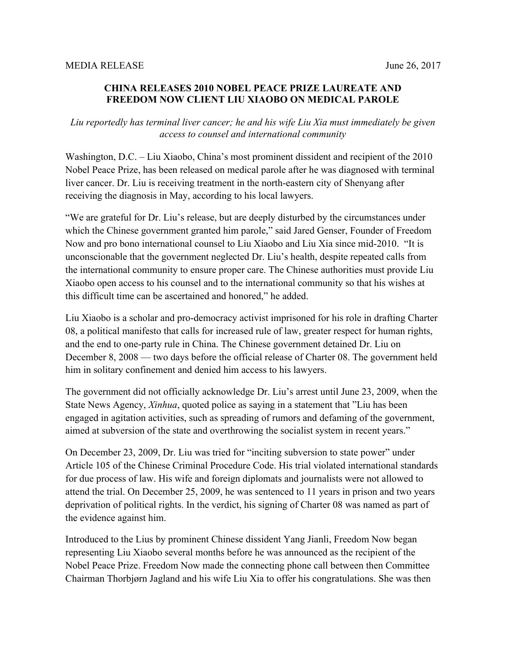## **CHINA RELEASES 2010 NOBEL PEACE PRIZE LAUREATE AND FREEDOM NOW CLIENT LIU XIAOBO ON MEDICAL PAROLE**

## *Liu reportedly has terminal liver cancer; he and his wife Liu Xia must immediately be given access to counsel and international community*

Washington, D.C. – Liu Xiaobo, China's most prominent dissident and recipient of the 2010 Nobel Peace Prize, has been released on medical parole after he was diagnosed with terminal liver cancer. Dr. Liu is receiving treatment in the north-eastern city of Shenyang after receiving the diagnosis in May, according to his local lawyers.

"We are grateful for Dr. Liu's release, but are deeply disturbed by the circumstances under which the Chinese government granted him parole," said Jared Genser, Founder of Freedom Now and pro bono international counsel to Liu Xiaobo and Liu Xia since mid-2010. "It is unconscionable that the government neglected Dr. Liu's health, despite repeated calls from the international community to ensure proper care. The Chinese authorities must provide Liu Xiaobo open access to his counsel and to the international community so that his wishes at this difficult time can be ascertained and honored," he added.

Liu Xiaobo is a scholar and pro-democracy activist imprisoned for his role in drafting Charter 08, a political manifesto that calls for increased rule of law, greater respect for human rights, and the end to one-party rule in China. The Chinese government detained Dr. Liu on December 8, 2008 — two days before the official release of Charter 08. The government held him in solitary confinement and denied him access to his lawyers.

The government did not officially acknowledge Dr. Liu's arrest until June 23, 2009, when the State News Agency, *Xinhua*, quoted police as saying in a statement that "Liu has been engaged in agitation activities, such as spreading of rumors and defaming of the government, aimed at subversion of the state and overthrowing the socialist system in recent years."

On December 23, 2009, Dr. Liu was tried for "inciting subversion to state power" under Article 105 of the Chinese Criminal Procedure Code. His trial violated international standards for due process of law. His wife and foreign diplomats and journalists were not allowed to attend the trial. On December 25, 2009, he was sentenced to 11 years in prison and two years deprivation of political rights. In the verdict, his signing of Charter 08 was named as part of the evidence against him.

Introduced to the Lius by prominent Chinese dissident Yang Jianli, Freedom Now began representing Liu Xiaobo several months before he was announced as the recipient of the Nobel Peace Prize. Freedom Now made the connecting phone call between then Committee Chairman Thorbjørn Jagland and his wife Liu Xia to offer his congratulations. She was then